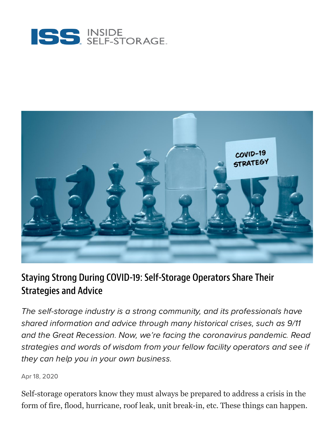



#### Staying Strong During COVID-19: Self-Storage Operators Share Their Strategies and Advice

The self-storage industry is a strong community, and its professionals have shared information and advice through many historical crises, such as 9/11 and the Great Recession. Now, we're facing the coronavirus pandemic. Read strategies and words of wisdom from your fellow facility operators and see if they can help you in your own business.

Apr 18, 2020

Self-storage operators know they must always be prepared to address a crisis in the form of fire, flood, hurricane, roof leak, unit break-in, etc. These things can happen.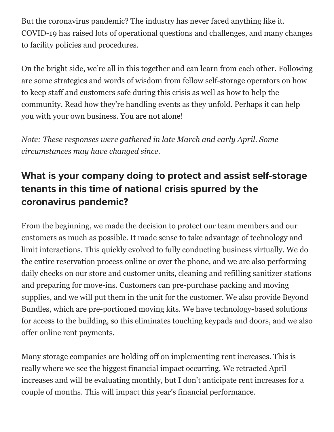But the coronavirus pandemic? The industry has never faced anything like it. COVID-19 has raised lots of operational questions and challenges, and many changes to facility policies and procedures.

On the bright side, we're all in this together and can learn from each other. Following are some strategies and words of wisdom from fellow self-storage operators on how to keep staff and customers safe during this crisis as well as how to help the community. Read how they're handling events as they unfold. Perhaps it can help you with your own business. You are not alone!

*Note: These responses were gathered in late March and early April. Some circumstances may have changed since.*

# What is your company doing to protect and assist self-storage tenants in this time of national crisis spurred by the coronavirus pandemic?

From the beginning, we made the decision to protect our team members and our customers as much as possible. It made sense to take advantage of technology and limit interactions. This quickly evolved to fully conducting business virtually. We do the entire reservation process online or over the phone, and we are also performing daily checks on our store and customer units, cleaning and refilling sanitizer stations and preparing for move-ins. Customers can pre-purchase packing and moving supplies, and we will put them in the unit for the customer. We also provide Beyond Bundles, which are pre-portioned moving kits. We have technology-based solutions for access to the building, so this eliminates touching keypads and doors, and we also offer online rent payments.

Many storage companies are holding off on implementing rent increases. This is really where we see the biggest financial impact occurring. We retracted April increases and will be evaluating monthly, but I don't anticipate rent increases for a couple of months. This will impact this year's financial performance.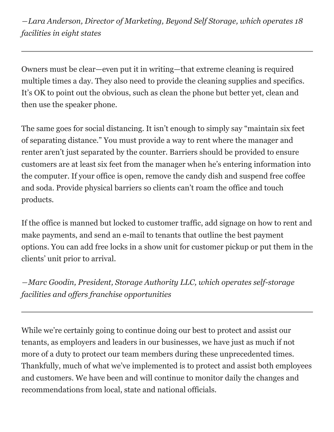*―Lara Anderson, Director of Marketing, Beyond Self Storage, which operates 18 facilities in eight states*

Owners must be clear—even put it in writing—that extreme cleaning is required multiple times a day. They also need to provide the cleaning supplies and specifics. It's OK to point out the obvious, such as clean the phone but better yet, clean and then use the speaker phone.

The same goes for social distancing. It isn't enough to simply say "maintain six feet of separating distance." You must provide a way to rent where the manager and renter aren't just separated by the counter. Barriers should be provided to ensure customers are at least six feet from the manager when he's entering information into the computer. If your office is open, remove the candy dish and suspend free coffee and soda. Provide physical barriers so clients can't roam the office and touch products.

If the office is manned but locked to customer traffic, add signage on how to rent and make payments, and send an e-mail to tenants that outline the best payment options. You can add free locks in a show unit for customer pickup or put them in the clients' unit prior to arrival.

*―Marc Goodin, President, Storage Authority LLC, which operates self-storage facilities and offers franchise opportunities*

While we're certainly going to continue doing our best to protect and assist our tenants, as employers and leaders in our businesses, we have just as much if not more of a duty to protect our team members during these unprecedented times. Thankfully, much of what we've implemented is to protect and assist both employees and customers. We have been and will continue to monitor daily the changes and recommendations from local, state and national officials.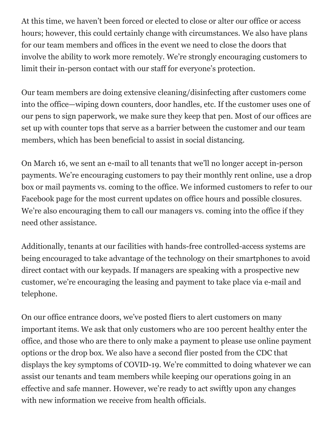At this time, we haven't been forced or elected to close or alter our office or access hours; however, this could certainly change with circumstances. We also have plans for our team members and offices in the event we need to close the doors that involve the ability to work more remotely. We're strongly encouraging customers to limit their in-person contact with our staff for everyone's protection.

Our team members are doing extensive cleaning/disinfecting after customers come into the office—wiping down counters, door handles, etc. If the customer uses one of our pens to sign paperwork, we make sure they keep that pen. Most of our offices are set up with counter tops that serve as a barrier between the customer and our team members, which has been beneficial to assist in social distancing.

On March 16, we sent an e-mail to all tenants that we'll no longer accept in-person payments. We're encouraging customers to pay their monthly rent online, use a drop box or mail payments vs. coming to the office. We informed customers to refer to our Facebook page for the most current updates on office hours and possible closures. We're also encouraging them to call our managers vs. coming into the office if they need other assistance.

Additionally, tenants at our facilities with hands-free controlled-access systems are being encouraged to take advantage of the technology on their smartphones to avoid direct contact with our keypads. If managers are speaking with a prospective new customer, we're encouraging the leasing and payment to take place via e-mail and telephone.

On our office entrance doors, we've posted fliers to alert customers on many important items. We ask that only customers who are 100 percent healthy enter the office, and those who are there to only make a payment to please use online payment options or the drop box. We also have a second flier posted from the CDC that displays the key symptoms of COVID-19. We're committed to doing whatever we can assist our tenants and team members while keeping our operations going in an effective and safe manner. However, we're ready to act swiftly upon any changes with new information we receive from health officials.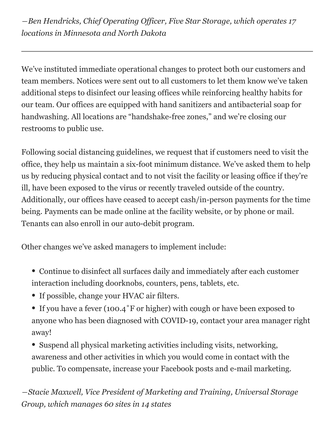*―Ben Hendricks, Chief Operating Officer, Five Star Storage, which operates 17 locations in Minnesota and North Dakota*

We've instituted immediate operational changes to protect both our customers and team members. Notices were sent out to all customers to let them know we've taken additional steps to disinfect our leasing offices while reinforcing healthy habits for our team. Our offices are equipped with hand sanitizers and antibacterial soap for handwashing. All locations are "handshake-free zones," and we're closing our restrooms to public use.

Following social distancing guidelines, we request that if customers need to visit the office, they help us maintain a six-foot minimum distance. We've asked them to help us by reducing physical contact and to not visit the facility or leasing office if they're ill, have been exposed to the virus or recently traveled outside of the country. Additionally, our offices have ceased to accept cash/in-person payments for the time being. Payments can be made online at the facility website, or by phone or mail. Tenants can also enroll in our auto-debit program.

Other changes we've asked managers to implement include:

- Continue to disinfect all surfaces daily and immediately after each customer interaction including doorknobs, counters, pens, tablets, etc.
- If possible, change your HVAC air filters.
- If you have a fever (100.4°F or higher) with cough or have been exposed to anyone who has been diagnosed with COVID-19, contact your area manager right away!
- Suspend all physical marketing activities including visits, networking, awareness and other activities in which you would come in contact with the public. To compensate, increase your Facebook posts and e-mail marketing.

*―Stacie Maxwell, Vice President of Marketing and Training, Universal Storage Group, which manages 60 sites in 14 states*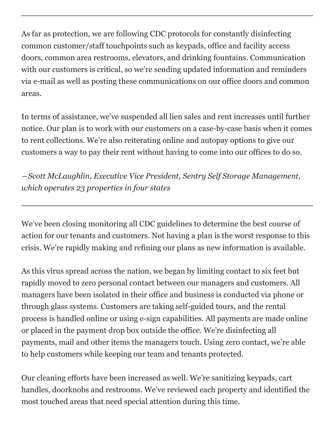As far as protection, we are following CDC protocols for constantly disinfecting common customer/staff touchpoints such as keypads, office and facility access doors, common area restrooms, elevators, and drinking fountains. Communication with our customers is critical, so we're sending updated information and reminders via e-mail as well as posting these communications on our office doors and common areas.

In terms of assistance, we've suspended all lien sales and rent increases until further notice. Our plan is to work with our customers on a case-by-case basis when it comes to rent collections. We're also reiterating online and autopay options to give our customers a way to pay their rent without having to come into our offices to do so.

*―Scott McLaughlin, Executive Vice President, Sentry Self Storage Management, which operates 23 properties in four states*

We've been closing monitoring all CDC guidelines to determine the best course of action for our tenants and customers. Not having a plan is the worst response to this crisis. We're rapidly making and refining our plans as new information is available.

As this virus spread across the nation, we began by limiting contact to six feet but rapidly moved to zero personal contact between our managers and customers. All managers have been isolated in their office and business is conducted via phone or through glass systems. Customers are taking self-guided tours, and the rental process is handled online or using e-sign capabilities. All payments are made online or placed in the payment drop box outside the office. We're disinfecting all payments, mail and other items the managers touch. Using zero contact, we're able to help customers while keeping our team and tenants protected.

Our cleaning efforts have been increased as well. We're sanitizing keypads, cart handles, doorknobs and restrooms. We've reviewed each property and identified the most touched areas that need special attention during this time.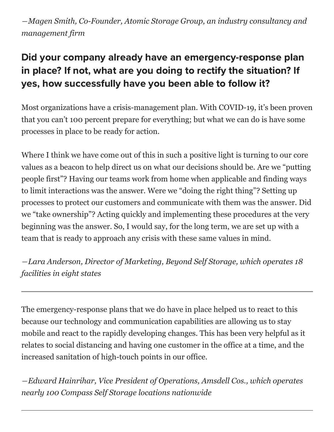*―Magen Smith, Co-Founder, Atomic Storage Group, an industry consultancy and management firm*

# Did your company already have an emergency-response plan in place? If not, what are you doing to rectify the situation? If yes, how successfully have you been able to follow it?

Most organizations have a crisis-management plan. With COVID-19, it's been proven that you can't 100 percent prepare for everything; but what we can do is have some processes in place to be ready for action.

Where I think we have come out of this in such a positive light is turning to our core values as a beacon to help direct us on what our decisions should be. Are we "putting people first"? Having our teams work from home when applicable and finding ways to limit interactions was the answer. Were we "doing the right thing"? Setting up processes to protect our customers and communicate with them was the answer. Did we "take ownership"? Acting quickly and implementing these procedures at the very beginning was the answer. So, I would say, for the long term, we are set up with a team that is ready to approach any crisis with these same values in mind.

*―Lara Anderson, Director of Marketing, Beyond Self Storage, which operates 18 facilities in eight states*

The emergency-response plans that we do have in place helped us to react to this because our technology and communication capabilities are allowing us to stay mobile and react to the rapidly developing changes. This has been very helpful as it relates to social distancing and having one customer in the office at a time, and the increased sanitation of high-touch points in our office.

*―Edward Hainrihar, Vice President of Operations, Amsdell Cos., which operates nearly 100 Compass Self Storage locations nationwide*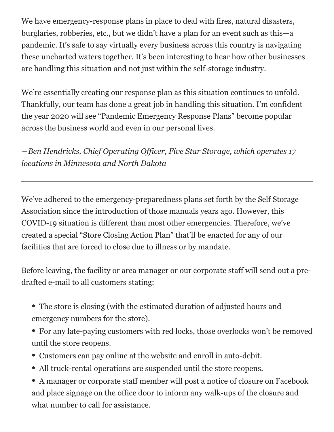We have emergency-response plans in place to deal with fires, natural disasters, burglaries, robberies, etc., but we didn't have a plan for an event such as this—a pandemic. It's safe to say virtually every business across this country is navigating these uncharted waters together. It's been interesting to hear how other businesses are handling this situation and not just within the self-storage industry.

We're essentially creating our response plan as this situation continues to unfold. Thankfully, our team has done a great job in handling this situation. I'm confident the year 2020 will see "Pandemic Emergency Response Plans" become popular across the business world and even in our personal lives.

*―Ben Hendricks, Chief Operating Officer, Five Star Storage, which operates 17 locations in Minnesota and North Dakota*

We've adhered to the emergency-preparedness plans set forth by the Self Storage Association since the introduction of those manuals years ago. However, this COVID-19 situation is different than most other emergencies. Therefore, we've created a special "Store Closing Action Plan" that'll be enacted for any of our facilities that are forced to close due to illness or by mandate.

Before leaving, the facility or area manager or our corporate staff will send out a predrafted e-mail to all customers stating:

- The store is closing (with the estimated duration of adjusted hours and emergency numbers for the store).
- For any late-paying customers with red locks, those overlocks won't be removed until the store reopens.
- Customers can pay online at the website and enroll in auto-debit.
- All truck-rental operations are suspended until the store reopens.

• A manager or corporate staff member will post a notice of closure on Facebook and place signage on the office door to inform any walk-ups of the closure and what number to call for assistance.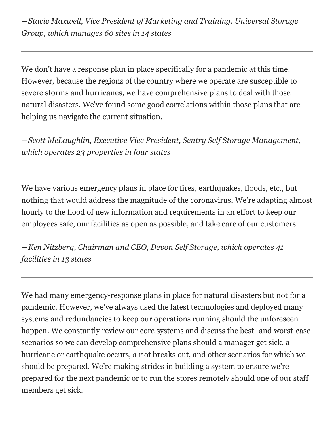*―Stacie Maxwell, Vice President of Marketing and Training, Universal Storage Group, which manages 60 sites in 14 states*

We don't have a response plan in place specifically for a pandemic at this time. However, because the regions of the country where we operate are susceptible to severe storms and hurricanes, we have comprehensive plans to deal with those natural disasters. We've found some good correlations within those plans that are helping us navigate the current situation.

*―Scott McLaughlin, Executive Vice President, Sentry Self Storage Management, which operates 23 properties in four states*

We have various emergency plans in place for fires, earthquakes, floods, etc., but nothing that would address the magnitude of the coronavirus. We're adapting almost hourly to the flood of new information and requirements in an effort to keep our employees safe, our facilities as open as possible, and take care of our customers.

*―Ken Nitzberg, Chairman and CEO, Devon Self Storage, which operates 41 facilities in 13 states*

We had many emergency-response plans in place for natural disasters but not for a pandemic. However, we've always used the latest technologies and deployed many systems and redundancies to keep our operations running should the unforeseen happen. We constantly review our core systems and discuss the best- and worst-case scenarios so we can develop comprehensive plans should a manager get sick, a hurricane or earthquake occurs, a riot breaks out, and other scenarios for which we should be prepared. We're making strides in building a system to ensure we're prepared for the next pandemic or to run the stores remotely should one of our staff members get sick.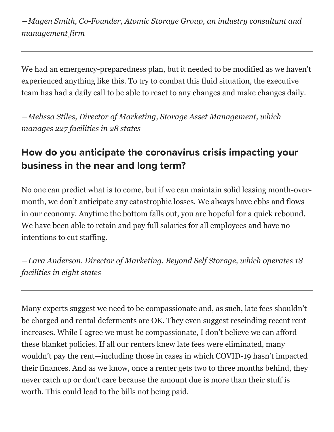*―Magen Smith, Co-Founder, Atomic Storage Group, an industry consultant and management firm*

We had an emergency-preparedness plan, but it needed to be modified as we haven't experienced anything like this. To try to combat this fluid situation, the executive team has had a daily call to be able to react to any changes and make changes daily.

*―Melissa Stiles, Director of Marketing, Storage Asset Management, which manages 227 facilities in 28 states*

### How do you anticipate the coronavirus crisis impacting your business in the near and long term?

No one can predict what is to come, but if we can maintain solid leasing month-overmonth, we don't anticipate any catastrophic losses. We always have ebbs and flows in our economy. Anytime the bottom falls out, you are hopeful for a quick rebound. We have been able to retain and pay full salaries for all employees and have no intentions to cut staffing.

*―Lara Anderson, Director of Marketing, Beyond Self Storage, which operates 18 facilities in eight states*

Many experts suggest we need to be compassionate and, as such, late fees shouldn't be charged and rental deferments are OK. They even suggest rescinding recent rent increases. While I agree we must be compassionate, I don't believe we can afford these blanket policies. If all our renters knew late fees were eliminated, many wouldn't pay the rent—including those in cases in which COVID-19 hasn't impacted their finances. And as we know, once a renter gets two to three months behind, they never catch up or don't care because the amount due is more than their stuff is worth. This could lead to the bills not being paid.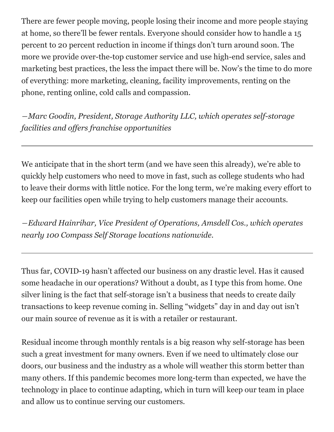There are fewer people moving, people losing their income and more people staying at home, so there'll be fewer rentals. Everyone should consider how to handle a 15 percent to 20 percent reduction in income if things don't turn around soon. The more we provide over-the-top customer service and use high-end service, sales and marketing best practices, the less the impact there will be. Now's the time to do more of everything: more marketing, cleaning, facility improvements, renting on the phone, renting online, cold calls and compassion.

*―Marc Goodin, President, Storage Authority LLC, which operates self-storage facilities and offers franchise opportunities*

We anticipate that in the short term (and we have seen this already), we're able to quickly help customers who need to move in fast, such as college students who had to leave their dorms with little notice. For the long term, we're making every effort to keep our facilities open while trying to help customers manage their accounts.

*―Edward Hainrihar, Vice President of Operations, Amsdell Cos., which operates nearly 100 Compass Self Storage locations nationwide.*

Thus far, COVID-19 hasn't affected our business on any drastic level. Has it caused some headache in our operations? Without a doubt, as I type this from home. One silver lining is the fact that self-storage isn't a business that needs to create daily transactions to keep revenue coming in. Selling "widgets" day in and day out isn't our main source of revenue as it is with a retailer or restaurant.

Residual income through monthly rentals is a big reason why self-storage has been such a great investment for many owners. Even if we need to ultimately close our doors, our business and the industry as a whole will weather this storm better than many others. If this pandemic becomes more long-term than expected, we have the technology in place to continue adapting, which in turn will keep our team in place and allow us to continue serving our customers.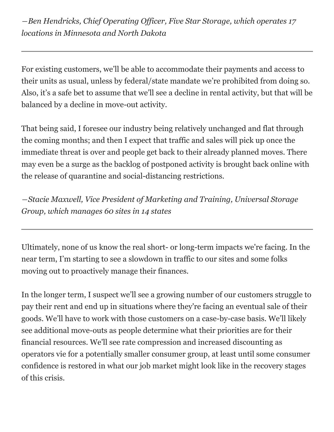*―Ben Hendricks, Chief Operating Officer, Five Star Storage, which operates 17 locations in Minnesota and North Dakota*

For existing customers, we'll be able to accommodate their payments and access to their units as usual, unless by federal/state mandate we're prohibited from doing so. Also, it's a safe bet to assume that we'll see a decline in rental activity, but that will be balanced by a decline in move-out activity.

That being said, I foresee our industry being relatively unchanged and flat through the coming months; and then I expect that traffic and sales will pick up once the immediate threat is over and people get back to their already planned moves. There may even be a surge as the backlog of postponed activity is brought back online with the release of quarantine and social-distancing restrictions.

*―Stacie Maxwell, Vice President of Marketing and Training, Universal Storage Group, which manages 60 sites in 14 states*

Ultimately, none of us know the real short- or long-term impacts we're facing. In the near term, I'm starting to see a slowdown in traffic to our sites and some folks moving out to proactively manage their finances.

In the longer term, I suspect we'll see a growing number of our customers struggle to pay their rent and end up in situations where they're facing an eventual sale of their goods. We'll have to work with those customers on a case-by-case basis. We'll likely see additional move-outs as people determine what their priorities are for their financial resources. We'll see rate compression and increased discounting as operators vie for a potentially smaller consumer group, at least until some consumer confidence is restored in what our job market might look like in the recovery stages of this crisis.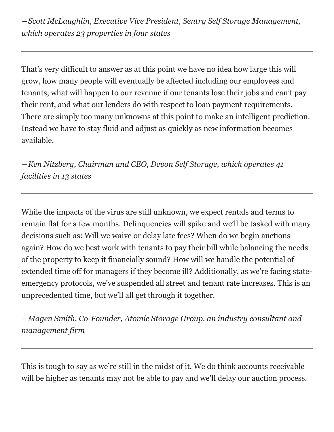*―Scott McLaughlin, Executive Vice President, Sentry Self Storage Management, which operates 23 properties in four states*

That's very difficult to answer as at this point we have no idea how large this will grow, how many people will eventually be affected including our employees and tenants, what will happen to our revenue if our tenants lose their jobs and can't pay their rent, and what our lenders do with respect to loan payment requirements. There are simply too many unknowns at this point to make an intelligent prediction. Instead we have to stay fluid and adjust as quickly as new information becomes available.

*―Ken Nitzberg, Chairman and CEO, Devon Self Storage, which operates 41 facilities in 13 states*

While the impacts of the virus are still unknown, we expect rentals and terms to remain flat for a few months. Delinquencies will spike and we'll be tasked with many decisions such as: Will we waive or delay late fees? When do we begin auctions again? How do we best work with tenants to pay their bill while balancing the needs of the property to keep it financially sound? How will we handle the potential of extended time off for managers if they become ill? Additionally, as we're facing stateemergency protocols, we've suspended all street and tenant rate increases. This is an unprecedented time, but we'll all get through it together.

*―Magen Smith, Co-Founder, Atomic Storage Group, an industry consultant and management firm*

This is tough to say as we're still in the midst of it. We do think accounts receivable will be higher as tenants may not be able to pay and we'll delay our auction process.